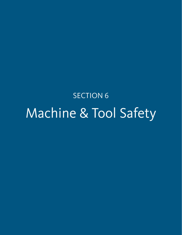SECTION 6 Machine & Tool Safety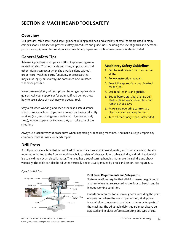# **SECTION 6: MACHINE AND TOOL SAFETY**

## **Overview**

Drill presses, table saws, band saws, grinders, milling machines, and a variety of small tools are used in many campus shops. This section presents safety procedures and guidelines, including the use of guards and personal protective equipment. Information about machinery repair and routine maintenance is also included.

## **General Safety Tips**

Safe work practices in shops are critical to preventing workrelated injuries. Crushed hands and arms, amputations, and other injuries can occur when shop work is done without proper care. Machine parts, functions, or processes that may cause injury must always be controlled or eliminated whenever possible.

Never use machinery without proper training or appropriate guards. Ask your supervisor for training if you do not know how to use a piece of machinery or a power tool.

Stay alert when working, and keep others at a safe distance when using a machine. If you see a co-worker having difficulty working (e.g., from being over-medicated, ill, or excessively tired), let your supervisor know so they can take care of the situation.

## **Machinery Safety Guidelines**

- 1. Get trained on each machine before using.
- 2. Follow instruction manuals.
- 3. Select the appropriate machine/tool for the job.
- 4. Use required PPE and guards.
- 5. Set up before starting. Change dull blades, clamp work, secure bits, and remove chuck keys.
- 6. Make sure operating controls are clearly labeled and easy to reach.
- 7. Turn off machinery when unattended.

Always use lockout/tagout procedures when inspecting or repairing machines. And make sure you report any equipment that is unsafe or needs repair.

## **Drill Press**

A drill press is a machine that is used to drill holes of various sizes in wood, metal, and other materials. Usually mounted or bolted to the floor or work bench, it consists of a base, column, table, spindle, and drill head, which is usually driven by an electric motor. The head has a set of turning handles that move the spindle and chuck vertically. The table can also be adjusted vertically and is usually moved by a rack and pinion. See Figure 6.1.

*Figure 6.1 – Drill Press*



## **Drill Press Requirements and Safeguards**

State regulations require that all drill presses be guarded at all times when in use, secured to the floor or bench, and be in good working condition.

Guards are required for all moving parts, including the point of operation where the work is performed, at all power transmission components, and at all other moving parts of the machine. The adjustable debris guard must always be adjusted and in place before attempting any type of cut.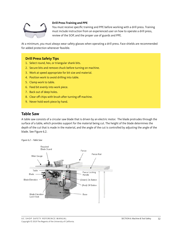

### **Drill Press Training and PPE**

You must receive specific training and PPE before working with a drill press. Training must include instruction from an experienced user on how to operate a drill press, review of the SOP, and the proper use of guards and PPE.

At a minimum, you must always wear safety glasses when operating a drill press. Face shields are recommended for added protection whenever feasible.

## **Drill Press Safety Tips**

- 1. Select round, hex, or triangular shank bits.
- 2. Secure bits and remove chuck before turning on machine.
- 3. Work at speed appropriate for bit size and material.
- 4. Position work to avoid drilling into table.
- 5. Clamp work to table.
- 6. Feed bit evenly into work piece.
- 7. Back out of deep holes.
- 8. Clear off chips with brush after turning off machine.
- 9. Never hold work piece by hand.

## **Table Saw**

A table saw consists of a circular saw blade that is driven by an electric motor. The blade protrudes through the surface of a table, which provides support for the material being cut. The height of the blade determines the depth of the cut that is made in the material, and the angle of the cut is controlled by adjusting the angle of the blade. See Figure 6.2.

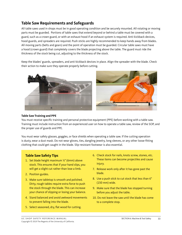## **Table Saw Requirements and Safeguards**

All table saws used in shops must be in good operating condition and be securely mounted. All rotating or moving parts must be guarded. Portions of table saws that extend beyond or behind a table must be covered with a guard, such as a crown guard, or with an exhaust hood if an exhaust system is required. Anti-kickback devices, hood guards, and spreaders are required. Push sticks are highly recommended to keep hands away from blades. All moving parts (belts and gears) and the point of operation must be guarded. Circular table saws must have a hood (crown guard) that completely covers the blade projecting above the table. The guard must ride the thickness of the stock being cut, adjusting to the thickness of the stock.

Keep the blades' guards, spreaders, and anti-kickback devices in place. Align the spreader with the blade. Check their action to make sure they operate properly before cutting.



#### **Table Saw Training and PPE**

You must receive specific training and personal protective equipment (PPE) before working with a table saw. Training must include instruction from an experienced user on how to operate a table saw, review of the SOP, and the proper use of guards and PPE.

You must wear safety glasses, goggles, or face shields when operating a table saw. If the cutting operation is dusty, wear a dust mask. Do not wear gloves, ties, dangling jewelry, long sleeves, or any other loose-fitting clothing that could get caught in the blade. Slip-resistant footwear is also essential.

## **Table Saw Safety Tips**

- 1. Set blade height maximum ¼" (6mm) above stock. This ensures that if your hand slips, you will get a slight cut rather than lose a limb.
- 2. Position guides.
- 3. Make sure tabletop is smooth and polished. Dirty, rough tables require extra force to push the stock through the blade. This can increase your chance of slipping or losing your balance.
- 4. Stand balanced and avoid awkward movements to prevent falling into the blade.
- 5. Select seasoned, dry, flat wood for cutting.
- 6. Check stock for nails, knots screw, stones, etc. These items can become projectiles and cause injury.
- 7. Release work only after it has gone past the blade.
- 8. Use a push stick to cut stock that less than 6" (150 mm) wide.
- 9. Make sure that the blade has stopped turning before you adjust the table.
- 10. Do not leave the saw until the blade has come to a complete stop.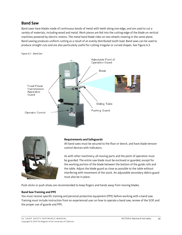## **Band Saw**

Band saws have blades made of continuous bands of metal with teeth along one edge, and are used to cut a variety of materials, including wood and metal. Work pieces are fed into the cutting edge of the blade on vertical machines powered by electric motors. The metal band blade rides on two wheels rotating in the same plane. Band sawing produces uniform cutting as a result of an evenly distributed tooth load. Band saws can be used to produce straight cuts and are also particularly useful for cutting irregular or curved shapes. See Figure 6.3.





#### **Requirements and Safeguards**

All band saws must be secured to the floor or bench, and have blade tension control devices with indicators.

As with other machinery, all moving parts and the point of operation must be guarded. The entire saw blade must be enclosed or guarded, except for the working portion of the blade between the bottom of the guide rolls and the table. Adjust the blade guard as close as possible to the table without interfering with movement of the stock. An adjustable secondary debris guard must also be in place.

Push sticks or push shoes are recommended to keep fingers and hands away from moving blades.

#### **Band Saw Training and PPE**

You must receive specific training and personal protective equipment (PPE) before working with a band saw. Training must include instruction from an experienced user on how to operate a band saw, review of the SOP, and the proper use of guards and PPE.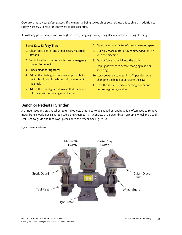Operators must wear safety glasses. If the material being sawed chips severely, use a face shield in addition to safety glasses. Slip-resistant footwear is also essential.

As with any power saw, do not wear gloves, ties, dangling jewelry, long sleeves, or loose-fitting clothing.

### **Band Saw Safety Tips**

- 1. Clear tools, debris, and unnecessary materials off table.
- 2. Verify location of on/off switch and emergency power disconnect.
- 3. Check blade for tightness.
- 4. Adjust the blade guard as close as possible to the table without interfering with movement of the stock.
- 5. Adjust the travel guard down so that the blade will travel within the angle or channel.
- 6. Operate at manufacturer's recommended speed.
- 7. Cut only those materials recommended for use with the machine.
- 8. Do not force material into the blade.
- 9. Unplug power cord before changing blade or servicing.
- 10. Lock power disconnect in "off" position when changing the blade or servicing the saw.
- 11. Test the saw after disconnecting power and before beginning service.

## **Bench or Pedestal Grinder**

A grinder uses an abrasive wheel to grind objects that need to be shaped or repaired. It is often used to remove metal from a work piece, sharpen tools, and clean parts. It consists of a power driven grinding wheel and a tool rest used to guide and feed work-pieces onto the wheel. See Figure 6.4.

*Figure 6.4 – Bench Grinder*

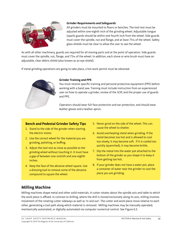

#### **Grinder Requirements and Safeguards**

All grinders must be mounted to floors or benches. The tool rest must be adjusted within one-eighth inch of the grinding wheel. Adjustable tongue (spark) guards should be within one-fourth inch from the wheel. Side guards must cover the spindle, nut and flange, and at least 75% of the wheel. Safety glass shields must be clear to allow the user to see the wheel.

As with all other machinery, guards are required for all moving parts and at the point of operation. Side guards must cover the spindle, nut, flange, and 75% of the wheel. In addition, each stone or wire brush must have an adjustable, clear debris shield (also known as an eye shield).

If metal grinding operations are going to take place, a hot work permit must be obtained.



### **Grinder Training and PPE**

You must receive specific training and personal protective equipment (PPE) before working with a band saw. Training must include instruction from an experienced user on how to operate a grinder, review of the SOP, and the proper use of guards and PPE.

Operators should wear full-face protection and ear protection, and should wear leather gloves and a leather apron.

## **Bench and Pedestal Grinder Safety Tips**

- 1. Stand to the side of the grinder when starting the electric motor.
- 2. Use the correct wheel for the material you are grinding, polishing, or buffing.
- 3. Adjust the tool rest as close as possible to the grinding wheel without touching it. It must have a gap of between one-sixtinth and one-eighth inches.
- 4. Keep the face of the abrasive wheel square. Use a dressing tool to remove some of the abrasive compound to square the wheel.
- 5. Never grind on the side of the wheel. This can cause the wheel to shatter.
- 6. Avoid overheating metal when grinding. If the metal becomes too hot and is allowed to cool too slowly, it may become soft. If it is cooled too quickly (quenched), it may become brittle.
- 7. Dip the metal into the water pot attached to the bottom of the grinder as you shape it to keep it from getting too hot.
- 8. If your grinder does not have a water pot, place a container of water near the grinder to cool the piece you are grinding.

## **Milling Machine**

Milling machines shape metal and other solid materials. A cutter rotates about the spindle axis and table to which the work-piece is affixed. In contrast to drilling, where the drill is moved exclusively along its axis, milling involves movement of the rotating cutter sideways as well as 'in and out'. The cutter and work-piece move relative to each other, generating a tool path along which material is removed. Milling machines may be manually operated, mechanically automated, or digitally automated via computer numerical control. See Figure 6.5.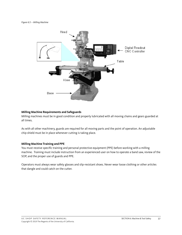

#### **Milling Machine Requirements and Safeguards**

Milling machines must be in good condition and properly lubricated with all moving chains and gears guarded at all times.

As with all other machinery, guards are required for all moving parts and the point of operation. An adjustable chip shield must be in place whenever cutting is taking place.

#### **Milling Machine Training and PPE**

You must receive specific training and personal protective equipment (PPE) before working with a milling machine. Training must include instruction from an experienced user on how to operate a band saw, review of the SOP, and the proper use of guards and PPE.

Operators must always wear safety glasses and slip-resistant shoes. Never wear loose clothing or other articles that dangle and could catch on the cutter.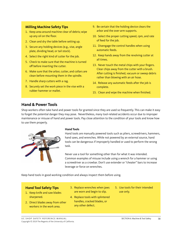## **Milling Machine Safety Tips**

- 1. Keep area around machine clear of debris; wipe up any oil on the floor.
- 2. Clean and dry the table before setting up.
- 3. Secure any holding devices (e.g., vise, angle plate, dividing head, or tail stock).
- 4. Select the right kind of cutter for the job.
- 5. Check to make sure that the machine is turned off before inserting the cutter.
- 6. Make sure that the arbor, cutter, and collars are clean before mounting them in the spindle.
- 7. Handle sharp cutters with a rag.
- 8. Securely set the work piece in the vise with a rubber hammer or mallet.
- 9. Be certain that the holding device clears the arbor and the over-arm supports.
- 10. Select the proper cutting speed, rpm, and rate of feed for the job.
- 11. Disengage the control handles when using automatic feeds.
- 12. Keep hands away from the revolving cutter at all times.
- 13. Never touch the metal chips with your fingers. Clear chips away from the cutter with a brush. After cutting is finished, vacuum or sweep debris rather than blowing with an air hose.
- 14. Release any automatic feeds after the job is complete.
- 15. Clean and wipe the machine when finished.

## **Hand & Power Tools**

Shop workers often take hand and power tools for granted since they are used so frequently. This can make it easy to forget the potential danger they may pose. Nevertheless, many tool-related accidents occur due to improper maintenance or misuse of hand and power tools. Pay close attention to the condition of your tools and know how to use them properly.



#### **Hand Tools**

Hand tools are manually powered tools such as pliers, screwdrivers, hammers, hand saws, and wrenches. While not powered by an external source, hand tools can be dangerous if improperly handled or used to perform the wrong task.

Never use a tool for something other than for what it was intended. Common examples of misuse include using a wrench for a hammer or using a screwdriver as a crowbar. Don't use extender or "cheater" bars to increase leverage or force on wrenches.

Keep hand tools in good working condition and always inspect them before using.

## **Hand Tool Safety Tips**

- 1. Keep knife and saw blades sharpened.
- 2. Direct blades away from other workers in the work area.
- 3. Replace wrenches when jaws are worn and begin to slip.
- 4. Replace tools with splintered handles, cracked blades, or any other defect.
- 5. Use tools for their intended use only.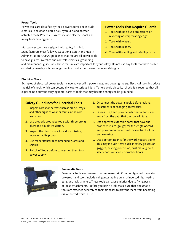#### **Power Tools**

Power tools are classified by their power source and include electrical, pneumatic, liquid fuel, hydraulic, and powder actuated tools. Potential hazards include electric shock and injury from moving parts.

Most power tools are designed with safety in mind. Manufacturers must follow Occupational Safety and Health Administration (OSHA) guidelines that require all power tools to have guards, switches and controls, electrical grounding,

### **Power Tools That Require Guards**

- 1. Tools with non-flush projections on revolving or reciprocating edges.
- 2. Tools with wheels.
- 3. Tools with blades.
- 4. Tools with sanding and grinding parts.

and maintenance guidelines. These features are important for your safety. Do not use any tools that have broken or missing guards, switches, or grounding conductors. Never remove safety guards.

#### **Electrical Tools**

Examples of electrical power tools include power drills, power saws, and power grinders. Electrical tools introduce the risk of shock, which can potentially lead to serious injury. To help avoid electrical shock, it is required that all exposed non-current carrying metal parts of tools that may become energized be grounded.

### **Safety Guidelines for Electrical Tools**

- 1. Inspect cords for defects such as cracks, frays, and other signs of wear or faults in the cord insulation.
- 2. Use properly grounded tools with three-prong plugs and double insulation.
- 3. Inspect the plug for cracks and for missing, loose, or faulty prongs.
- 4. Use manufacturer recommended guards and shields.
- 5. Switch off tools before connecting them to a power supply.
- 6. Disconnect the power supply before making adjustments or changing accessories.
- 7. During use, keep power cords clear of tools and away from the path that the tool will take.
- 8. Use approved extension cords that have the proper wire size (gauge) for the length of cord and power requirements of the electric tool that you are using.
- 9. Use appropriate PPE for the work you are doing. This may include items such as safety glasses or goggles, hearing protection, dust mask, gloves, safety boots or shoes, or rubber boots.



#### **Pneumatic Tools**

Pneumatic tools are powered by compressed air. Common types of these airpowered hand tools include nail guns, stapling guns, grinders, drills, riveting guns, and jackhammers. These tools can cause injuries due to flying parts or loose attachments. Before you begin a job, make sure that pneumatic tools are fastened securely to their air hoses to prevent them from becoming disconnected while in use.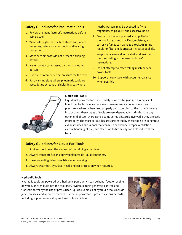## **Safety Guidelines for Pneumatic Tools**

- 1. Review the manufacturer's instructions before using a tool.
- 2. Wear safety glasses or a face shield and, where necessary, safety shoes or boots and hearing protection.
- 3. Make sure air hoses do not present a tripping hazard.
- 4. Never point a compressed air gun at another person.
- 5. Use the recommended air pressure for the task.
- 6. Post warning signs where pneumatic tools are used. Set up screens or shields in areas where

nearby workers may be exposed to flying fragments, chips, dust, and excessive noise.

- 7. Ensure that the compressed air supplied to the tool is clean and dry. Dust, moisture, and corrosive fumes can damage a tool. An in-line regulator filter and lubricator increases tool life.
- 8. Keep tools clean and lubricated, and maintain them according to the manufacturers' instructions.
- 9. Do not attempt to catch falling machinery or power tools.
- 10. Support heavy tools with a counter-balance when possible



#### **Liquid Fuel Tools**

Liquid fuel-powered tools are usually powered by gasoline. Examples of liquid fuel tools include chain saws, lawn mowers, concrete saws, and pressure washers. When used properly and according to the manufacturer's instructions, these types of tools are very dependable and safe. Like any other kind of tool, there can be some serious hazards involved if they are used improperly. The most serious hazards presented by these tools are dangerous exhaust fumes and vapors that can burn or explode. Proper ventilation, careful handling of fuel, and attention to fire safety can help reduce these hazards.

## **Safety Guidelines for Liquid Fuel Tools**

- 1. Shut and cool down the engine before refilling a fuel tank.
- 2. Always transport fuel in approved flammable liquid containers.
- 3. Have fire extinguishers available when working.
- 4. Always wear foot, eye, face, head, and ear protection when required.

#### **Hydraulic Tools**

Hydraulic tools are powered by a hydraulic pump which can be hand, foot, or engine powered, or even built into the tool itself. Hydraulic tools generate, control, and transmit power by the use of pressurized liquids. Examples of hydraulic tools include jacks, presses, and impact wrenches. Hydraulic power tools present various hazards, including trip hazards or slipping hazards from oil leaks.

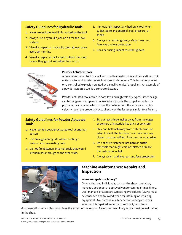## **Safety Guidelines for Hydraulic Tools**

- 1. Never exceed the load limit marked on the tool.
- 2. Always use a hydraulic jack on a firm and level surface.
- 3. Visually inspect all hydraulic tools at least once every six months.
- 4. Visually inspect all jacks used outside the shop before they go out and when they return.
- 5. Immediately inspect any hydraulic tool when subjected to an abnormal load, pressure, or shock.
- 6. Always use leather gloves, safety shoes, and face, eye and ear protection.
- 7. Consider using impact-resistant gloves.



### **Powder Actuated Tools**

A powder-actuated tool is a nail gun used in construction and fabrication to join materials to hard substrates such as steel and concrete. This technology relies on a controlled explosion created by a small chemical propellant. An example of a powder-actuated tool is a concrete fastener.

Powder-actuated tools come in both low and high velocity types. Either design can be dangerous to operate. In low velocity tools, the propellant acts on a piston in the chamber, which drives the fastener into the substrate. In high velocity tools, the propellant acts directly on the fastener, similar to a firearm.

## **Safety Guidelines for Powder Actuated Tools**

- 1. Never point a powder-actuated tool at another person.
- 2. Use an alignment guide when shooting a fastener into an existing hole.
- 3. Do not fire fasteners into materials that would let them pass through to the other side.
- 4. Stay at least three inches away from the edges or corners of materials like brick or concrete.
- 5. Stay one-half inch away from a steel corner or edge. In steel, the fastener must not come any closer than one-half inch from a corner or an edge.
- 6. Do not drive fasteners into hard or brittle materials that might chip or splatter, or make the fastener ricochet.
- 7. Always wear hand, eye, ear, and face protection.



## **Machine Maintenance: Repairs and Inspection**

## **Who can repair machinery?**

Only authorized individuals, such as the shop supervisor, manager, designee, or approved vendor can repair machinery. User manuals or Standard Operating Procedures (SOPs) must be consulted and followed when maintaining or repairing equipment. Any piece of machinery that undergoes repair, whether it is repaired in-house or sent out, must have

documentation which clearly outlines the extent of the repairs. Records of machinery repair must be maintained in the shop.